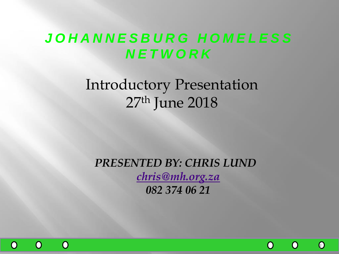## *J O H A N N E S B U R G H O M E L E S S N E T W O R K*

# Introductory Presentation 27th June 2018

*PRESENTED BY: CHRIS LUND [chris@mh.org.za](mailto:chris@mh.org.za) 082 374 06 21*



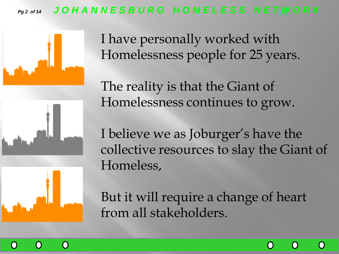### *Pg 2 of 14 J O H A N N E S B U R G H O M E L E S S N E T W O R K*







I have personally worked with Homelessness people for 25 years.

The reality is that the Giant of Homelessness continues to grow.

I believe we as Joburger's have the collective resources to slay the Giant of Homeless,

But it will require a change of heart from all stakeholders.

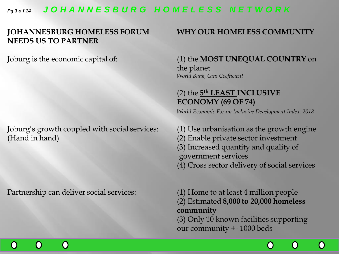#### *Pg 3 o f 14 J O H A N N E S B U R G H O M E L E S S N E T W O R K*

#### **JOHANNESBURG HOMELESS FORUM WHY OUR HOMELESS COMMUNITY NEEDS US TO PARTNER**

Joburg's growth coupled with social services: (1) Use urbanisation as the growth engine (Hand in hand) (2) Enable private sector investment

Partnership can deliver social services: (1) Home to at least 4 million people

 $\bigcap$ 

#### Joburg is the economic capital of: (1) the **MOST UNEQUAL COUNTRY** on the planet *World Bank, Gini Coefficient*

#### (2) the **5 th LEAST INCLUSIVE ECONOMY (69 OF 74)**

*World Economic Forum Inclusive Development Index, 2018* 

(3) Increased quantity and quality of government services (4) Cross sector delivery of social services

(2) Estimated **8,000 to 20,000 homeless** 

**community**

(3) Only 10 known facilities supporting our community +- 1000 beds

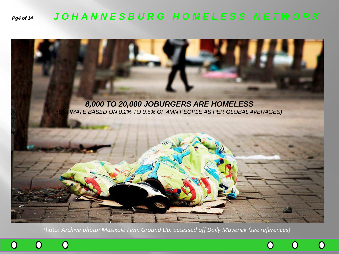### *Pg4 of 14 J O H A N N E S B U R G H O M E L E S S N E T W O R K*



Photo: *Archive photo: Masixole Feni, Ground Up, accessed off Daily Maverick (see references)*



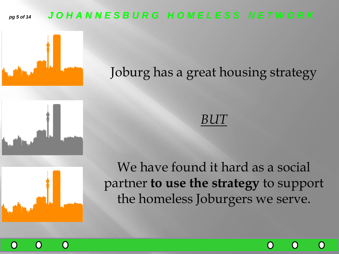### *pg 5 of 14 J O H A N N E S B U R G H O M E L E S S N E T W O R K*



Joburg has a great housing strategy



## *BUT*



We have found it hard as a social partner **to use the strategy** to support the homeless Joburgers we serve.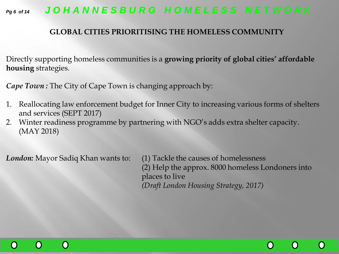

#### **GLOBAL CITIES PRIORITISING THE HOMELESS COMMUNITY**

Directly supporting homeless communities is a **growing priority of global cities' affordable housing** strategies.

*Cape Town:* The City of Cape Town is changing approach by:

- 1. Reallocating law enforcement budget for Inner City to increasing various forms of shelters and services (SEPT 2017)
- 2. Winter readiness programme by partnering with NGO's adds extra shelter capacity. (MAY 2018)

*London:* Mayor Sadiq Khan wants to: (1) Tackle the causes of homelessness (2) Help the approx. 8000 homeless Londoners into places to live *(Draft London Housing Strategy, 2017)*



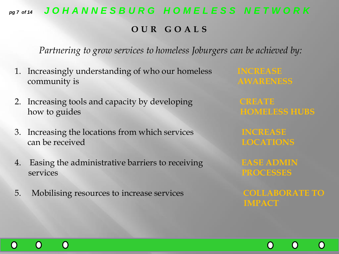### *pg 7 of 14 J O H A N N E S B U R G H O M E L E S S N E T W O R K*

#### **O U R G O A L S**

*Partnering to grow services to homeless Joburgers can be achieved by:*

- 1. Increasingly understanding of who our homeless **INCREASE** community is **AWARENESS**
- 2. Increasing tools and capacity by developing **CREATE** how to guides **HOMELESS HUBS**
- 3. Increasing the locations from which services **INCREASE can be received LOCATIONS**
- 4. Easing the administrative barriers to receiving **EASE ADMIN**  services **PROCESSES**
- 5. Mobilising resources to increase services **COLLABORATE TO**

 $\bigcap$ 

 $\left( \ \right)$ 

 $\bigcap$ 

**IMPACT**

 $\left(\ \right)$ 

 $\bigcap$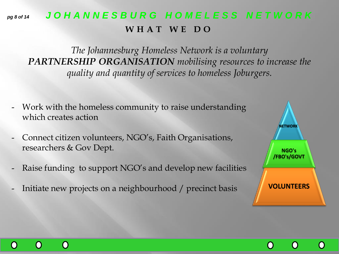### *pg 8 of 14 J O H A N N E S B U R G H O M E L E S S N E T W O R K* **W H A T W E D O**

*The Johannesburg Homeless Network is a voluntary PARTNERSHIP ORGANISATION mobilising resources to increase the quality and quantity of services to homeless Joburgers.* 

- Work with the homeless community to raise understanding which creates action
- Connect citizen volunteers, NGO's, Faith Organisations, researchers & Gov Dept.
- Raise funding to support NGO's and develop new facilities
- Initiate new projects on a neighbourhood / precinct basis



 $\cap$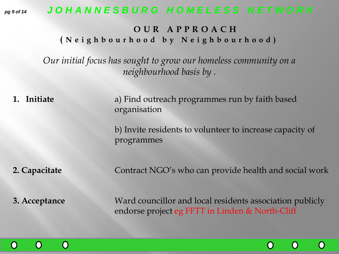#### *pg 9 of 14 J O H A N N E S B U R G H O M E L E S S N E T W O R K*

#### **O U R A P P R O A C H ( N e i g h b o u r h o o d b y N e i g h b o u r h o o d )**

*Our initial focus has sought to grow our homeless community on a neighbourhood basis by .* 

**1. Initiate** a) Find outreach programmes run by faith based organisation

> b) Invite residents to volunteer to increase capacity of programmes

**2. Capacitate Contract NGO's who can provide health and social work** 

**3. Acceptance Ward councillor and local residents association publicly** endorse project eg FFTT in Linden & North-Cliff



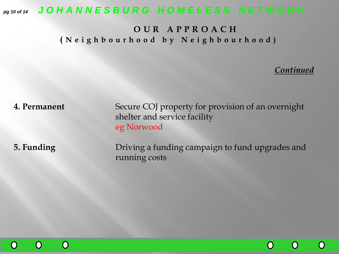*pg 10 of 14 J O H A N N E S B U R G H O M E L E S S N E T W O R K*

#### **O U R A P P R O A C H ( N e i g h b o u r h o o d b y N e i g h b o u r h o o d )**

#### *Continued*

 $\bigcap$ 

 $\bf{O}$ 

 $\bf{O}$ 

**4. Permanent** Secure COJ property for provision of an overnight shelter and service facility eg Norwood

**5. Funding Driving a funding campaign to fund upgrades and** running costs

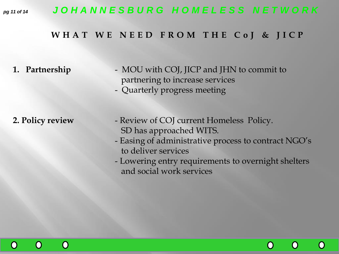### *pg 11 of 14 J O H A N N E S B U R G H O M E L E S S N E T W O R K*

#### **W H A T W E N E E D F R O M T H E C o J & J I C P**

- **1. Partnership** MOU with COJ, JICP and JHN to commit to partnering to increase services
	- Quarterly progress meeting

- **2. Policy review**  Review of COJ current Homeless Policy. SD has approached WITS.
	- Easing of administrative process to contract NGO's to deliver services
	- Lowering entry requirements to overnight shelters and social work services



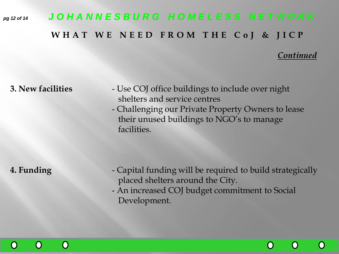# *pg 12 of 14 J O H A N N E S B U R G H O M E L E S S N E T W O R K* **W H A T W E N E E D F R O M T H E C o J & J I C P**

#### *Continued*

 $\left(\right)$ 

 $\left(\ \right)$ 

 $\left(\right)$ 

- **3. New facilities**  Use COJ office buildings to include over night shelters and service centres
	- Challenging our Private Property Owners to lease their unused buildings to NGO's to manage facilities.

- **4. Funding**  Capital funding will be required to build strategically placed shelters around the City.
	- An increased COJ budget commitment to Social Development.

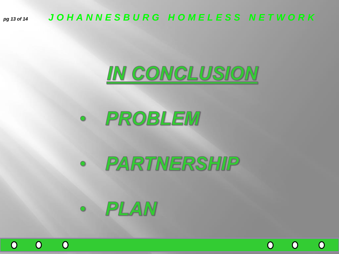*pg 13 of 14 J O H A N N E S B U R G H O M E L E S S N E T W O R K*



 $\bigcap$ 

O

 $\overline{O}$ 

# · PROBLEM

# · PARTMERSHIP



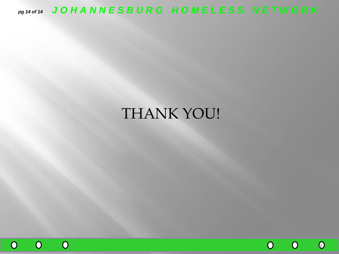*pg 14 of 14 J O H A N N E S B U R G H O M E L E S S N E T W O R K*

## THANK YOU!